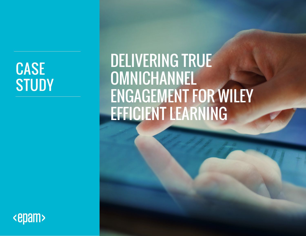# CASE **STUDY**

# DELIVERING TRUE OMNICHANNEL ENGAGEMENT FOR WILEY EFFICIENT LEARNING

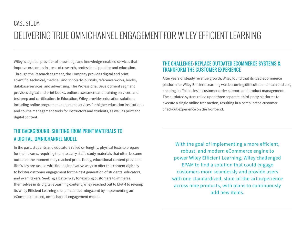### CASE STUDY: DELIVERING TRUE OMNICHANNEL ENGAGEMENT FOR WILEY EFFICIENT LEARNING

Wiley is a global provider of knowledge and knowledge-enabled services that improve outcomes in areas of research, professional practice and education. Through the Research segment, the Company provides digital and print scientific, technical, medical, and scholarly journals, reference works, books, database services, and advertising. The Professional Development segment provides digital and print books, online assessment and training services, and test prep and certification. In Education, Wiley provides education solutions including online program management services for higher education institutions and course management tools for instructors and students, as well as print and digital content.

#### THE BACKGROUND: SHIFTING FROM PRINT MATERIALS TO A DIGITAL, OMNICHANNEL MODEL

In the past, students and educators relied on lengthy, physical texts to prepare for their exams, requiring them to carry static study materials that often became outdated the moment they reached print. Today, educational content providers like Wiley are tasked with finding innovative ways to offer this content digitally to bolster customer engagement for the next generation of students, educators, and exam takers. Seeking a better way for existing customers to immerse themselves in its digital eLearning content, Wiley reached out to EPAM to revamp its Wiley Efficient Learning site (efficientlearning.com) by implementing an eCommerce-based, omnichannel engagement model.

#### THE CHALLENGE: REPLACE OUTDATED ECOMMERCE SYSTEMS & TRANSFORM THE CUSTOMER EXPERIENCE

After years of steady revenue growth, Wiley found that its B2C eCommerce platform for Wiley Efficient Learning was becoming difficult to maintain and use, creating inefficiencies in customer order support and product management. The outdated system relied upon three separate, third-party platforms to execute a single online transaction, resulting in a complicated customer checkout experience on the front-end.

With the goal of implementing a more efficient, robust, and modern eCommerce engine to power Wiley Efficient Learning, Wiley challenged EPAM to find a solution that could engage customers more seamlessly and provide users with one standardized, state-of-the-art experience across nine products, with plans to continuously add new items.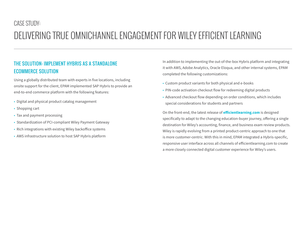### CASE STUDY: DELIVERING TRUE OMNICHANNEL ENGAGEMENT FOR WILEY EFFICIENT LEARNING

#### THE SOLUTION: IMPLEMENT HYBRIS AS A STANDALONE ECOMMERCE SOLUTION

Using a globally distributed team with experts in five locations, including onsite support for the client, EPAM implemented SAP Hybris to provide an end-to-end commerce platform with the following features:

- Digital and physical product catalog management
- Shopping cart
- Tax and payment processing
- Standardization of PCI-compliant Wiley Payment Gateway
- Rich integrations with existing Wiley backoffice systems
- AWS infrastructure solution to host SAP Hybris platform

In addition to implementing the out-of-the-box Hybris platform and integrating it with AWS, Adobe Analytics, Oracle Eloqua, and other internal systems, EPAM completed the following customizations:

- Custom product variants for both physical and e-books
- PIN-code activation checkout flow for redeeming digital products
- Advanced checkout flow depending on order conditions, which includes special considerations for students and partners

On the front-end, the latest release of **efficientlearning.com** is designed specifically to adapt to the changing education-buyer journey, offering a single destination for Wiley's accounting, finance, and business exam review products. Wiley is rapidly evolving from a printed product-centric approach to one that is more customer-centric. With this in mind, EPAM integrated a Hybris-specific, responsive user interface across all channels of efficientlearning.com to create a more closely connected digital customer experience for Wiley's users.